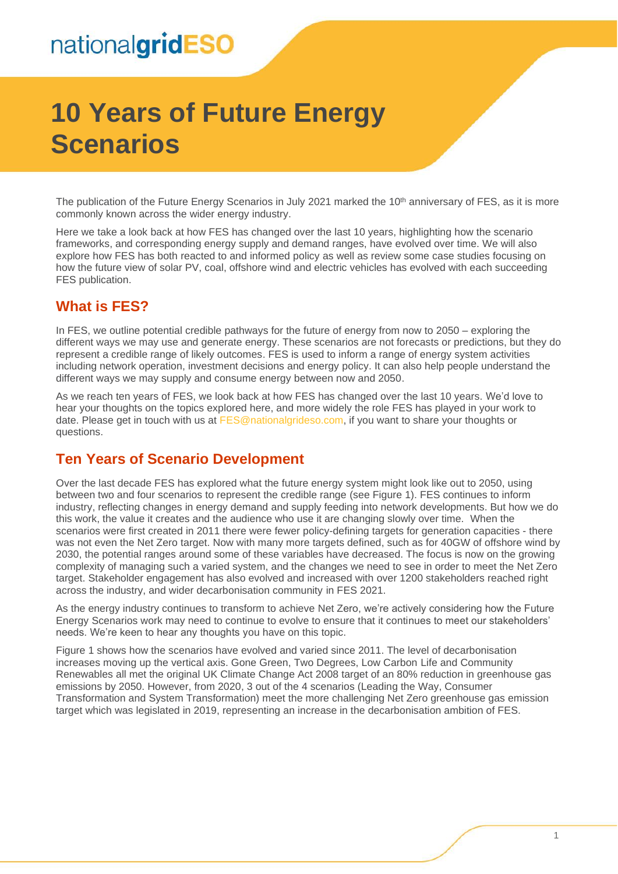# **10 Years of Future Energy Scenarios**

The publication of the Future Energy Scenarios in July 2021 marked the 10<sup>th</sup> anniversary of FES, as it is more commonly known across the wider energy industry.

Here we take a look back at how FES has changed over the last 10 years, highlighting how the scenario frameworks, and corresponding energy supply and demand ranges, have evolved over time. We will also explore how FES has both reacted to and informed policy as well as review some case studies focusing on how the future view of solar PV, coal, offshore wind and electric vehicles has evolved with each succeeding FES publication.

### **What is FES?**

In FES, we outline potential credible pathways for the future of energy from now to 2050 – exploring the different ways we may use and generate energy. These scenarios are not forecasts or predictions, but they do represent a credible range of likely outcomes. FES is used to inform a range of energy system activities including network operation, investment decisions and energy policy. It can also help people understand the different ways we may supply and consume energy between now and 2050.

As we reach ten years of FES, we look back at how FES has changed over the last 10 years. We'd love to hear your thoughts on the topics explored here, and more widely the role FES has played in your work to date. Please get in touch with us at [FES@nationalgrideso.com,](mailto:FES@nationalgrideso.com) if you want to share your thoughts or questions.

### **Ten Years of Scenario Development**

Over the last decade FES has explored what the future energy system might look like out to 2050, using between two and four scenarios to represent the credible range (see Figure 1). FES continues to inform industry, reflecting changes in energy demand and supply feeding into network developments. But how we do this work, the value it creates and the audience who use it are changing slowly over time. When the scenarios were first created in 2011 there were fewer policy-defining targets for generation capacities - there was not even the Net Zero target. Now with many more targets defined, such as for 40GW of offshore wind by 2030, the potential ranges around some of these variables have decreased. The focus is now on the growing complexity of managing such a varied system, and the changes we need to see in order to meet the Net Zero target. Stakeholder engagement has also evolved and increased with over 1200 stakeholders reached right across the industry, and wider decarbonisation community in FES 2021.

As the energy industry continues to transform to achieve Net Zero, we're actively considering how the Future Energy Scenarios work may need to continue to evolve to ensure that it continues to meet our stakeholders' needs. We're keen to hear any thoughts you have on this topic.

Figure 1 shows how the scenarios have evolved and varied since 2011. The level of decarbonisation increases moving up the vertical axis. Gone Green, Two Degrees, Low Carbon Life and Community Renewables all met the original UK Climate Change Act 2008 target of an 80% reduction in greenhouse gas emissions by 2050. However, from 2020, 3 out of the 4 scenarios (Leading the Way, Consumer Transformation and System Transformation) meet the more challenging Net Zero greenhouse gas emission target which was legislated in 2019, representing an increase in the decarbonisation ambition of FES.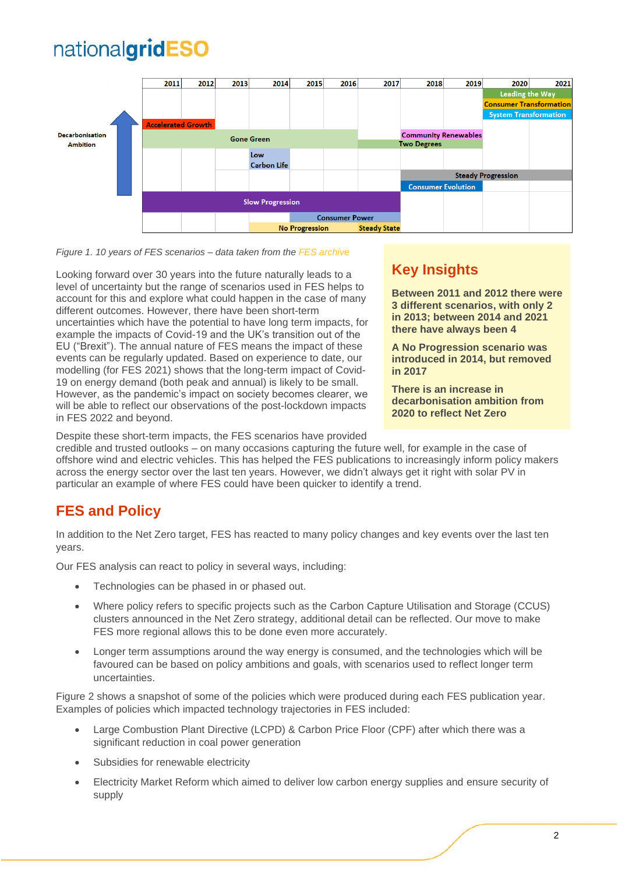

#### *Figure 1. 10 years of FES scenarios – data taken from th[e FES archive](https://www.nationalgrideso.com/future-energy/future-energy-scenarios/fes-documents-archive)*

Looking forward over 30 years into the future naturally leads to a level of uncertainty but the range of scenarios used in FES helps to account for this and explore what could happen in the case of many different outcomes. However, there have been short-term uncertainties which have the potential to have long term impacts, for example the impacts of Covid-19 and the UK's transition out of the EU ("Brexit"). The annual nature of FES means the impact of these events can be regularly updated. Based on experience to date, our modelling (for FES 2021) shows that the long-term impact of Covid-19 on energy demand (both peak and annual) is likely to be small. However, as the pandemic's impact on society becomes clearer, we will be able to reflect our observations of the post-lockdown impacts in FES 2022 and beyond.

### **Key Insights**

**Between 2011 and 2012 there were 3 different scenarios, with only 2 in 2013; between 2014 and 2021 there have always been 4**

**A No Progression scenario was introduced in 2014, but removed in 2017**

**There is an increase in decarbonisation ambition from 2020 to reflect Net Zero**

Despite these short-term impacts, the FES scenarios have provided

credible and trusted outlooks – on many occasions capturing the future well, for example in the case of offshore wind and electric vehicles. This has helped the FES publications to increasingly inform policy makers across the energy sector over the last ten years. However, we didn't always get it right with solar PV in particular an example of where FES could have been quicker to identify a trend.

### **FES and Policy**

In addition to the Net Zero target, FES has reacted to many policy changes and key events over the last ten years.

Our FES analysis can react to policy in several ways, including:

- Technologies can be phased in or phased out.
- Where policy refers to specific projects such as the Carbon Capture Utilisation and Storage (CCUS) clusters announced in the Net Zero strategy, additional detail can be reflected. Our move to make FES more regional allows this to be done even more accurately.
- Longer term assumptions around the way energy is consumed, and the technologies which will be favoured can be based on policy ambitions and goals, with scenarios used to reflect longer term uncertainties.

Figure 2 shows a snapshot of some of the policies which were produced during each FES publication year. Examples of policies which impacted technology trajectories in FES included:

- Large Combustion Plant Directive (LCPD) & Carbon Price Floor (CPF) after which there was a significant reduction in coal power generation
- Subsidies for renewable electricity
- Electricity Market Reform which aimed to deliver low carbon energy supplies and ensure security of supply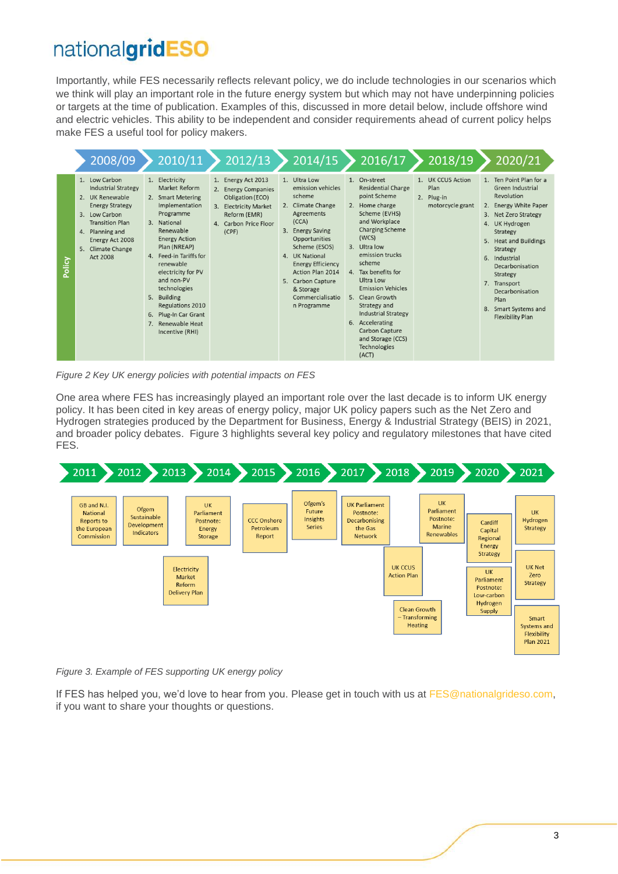Importantly, while FES necessarily reflects relevant policy, we do include technologies in our scenarios which we think will play an important role in the future energy system but which may not have underpinning policies or targets at the time of publication. Examples of this, discussed in more detail below, include offshore wind and electric vehicles. This ability to be independent and consider requirements ahead of current policy helps make FES a useful tool for policy makers.

|        | 2008/09                                                                                                                                                                                                                 | 2010/11                                                                                                                                                                                                                                                                                                                                               | 2012/13                                                                                                                                  | 2014/15                                                                                                                                                                                                                                                                                        | 2016/17                                                                                                                                                                                                                                                                                                                                                                                                           | 2018/19                                                     | 2020/21                                                                                                                                                                                                                                                                                                                            |
|--------|-------------------------------------------------------------------------------------------------------------------------------------------------------------------------------------------------------------------------|-------------------------------------------------------------------------------------------------------------------------------------------------------------------------------------------------------------------------------------------------------------------------------------------------------------------------------------------------------|------------------------------------------------------------------------------------------------------------------------------------------|------------------------------------------------------------------------------------------------------------------------------------------------------------------------------------------------------------------------------------------------------------------------------------------------|-------------------------------------------------------------------------------------------------------------------------------------------------------------------------------------------------------------------------------------------------------------------------------------------------------------------------------------------------------------------------------------------------------------------|-------------------------------------------------------------|------------------------------------------------------------------------------------------------------------------------------------------------------------------------------------------------------------------------------------------------------------------------------------------------------------------------------------|
| Policy | 1. Low Carbon<br><b>Industrial Strategy</b><br>2. UK Renewable<br><b>Energy Strategy</b><br>Low Carbon<br>3.<br><b>Transition Plan</b><br>4. Planning and<br>Energy Act 2008<br>Climate Change<br>5.<br><b>Act 2008</b> | 1. Electricity<br>Market Reform<br>2. Smart Metering<br>Implementation<br>Programme<br>3. National<br>Renewable<br><b>Energy Action</b><br>Plan (NREAP)<br>4. Feed-in Tariffs for<br>renewable<br>electricity for PV<br>and non-PV<br>technologies<br>5. Building<br>Regulations 2010<br>6. Plug-In Car Grant<br>7. Renewable Heat<br>Incentive (RHI) | 1. Energy Act 2013<br>2. Energy Companies<br>Obligation (ECO)<br>3. Electricity Market<br>Reform (EMR)<br>4. Carbon Price Floor<br>(CPF) | 1. Ultra Low<br>emission vehicles<br>scheme<br>2. Climate Change<br>Agreements<br>(CCA)<br>3.<br><b>Energy Saving</b><br>Opportunities<br>Scheme (ESOS)<br>4. UK National<br><b>Energy Efficiency</b><br>Action Plan 2014<br>5. Carbon Capture<br>& Storage<br>Commercialisatio<br>n Programme | 1. On-street<br><b>Residential Charge</b><br>point Scheme<br>2. Home charge<br>Scheme (EVHS)<br>and Workplace<br><b>Charging Scheme</b><br>(WCS)<br>3. Ultra low<br>emission trucks<br>scheme<br>4. Tax benefits for<br>Ultra Low<br><b>Emission Vehicles</b><br>5. Clean Growth<br>Strategy and<br><b>Industrial Strategy</b><br>6. Accelerating<br>Carbon Capture<br>and Storage (CCS)<br>Technologies<br>(ACT) | 1. UK CCUS Action<br>Plan<br>2. Plug-in<br>motorcycle grant | 1. Ten Point Plan for a<br>Green Industrial<br>Revolution<br>2. Energy White Paper<br>3. Net Zero Strategy<br>4. UK Hydrogen<br><b>Strategy</b><br>5. Heat and Buildings<br>Strategy<br>6. Industrial<br>Decarbonisation<br>Strategy<br>7. Transport<br>Decarbonisation<br>Plan<br>8. Smart Systems and<br><b>Flexibility Plan</b> |

*Figure 2 Key UK energy policies with potential impacts on FES*

One area where FES has increasingly played an important role over the last decade is to inform UK energy policy. It has been cited in key areas of energy policy, major UK policy papers such as the Net Zero and Hydrogen strategies produced by the Department for Business, Energy & Industrial Strategy (BEIS) in 2021, and broader policy debates. Figure 3 highlights several key policy and regulatory milestones that have cited FES.



*Figure 3. Example of FES supporting UK energy policy*

If FES has helped you, we'd love to hear from you. Please get in touch with us at [FES@nationalgrideso.com,](mailto:FES@nationalgrideso.com) if you want to share your thoughts or questions.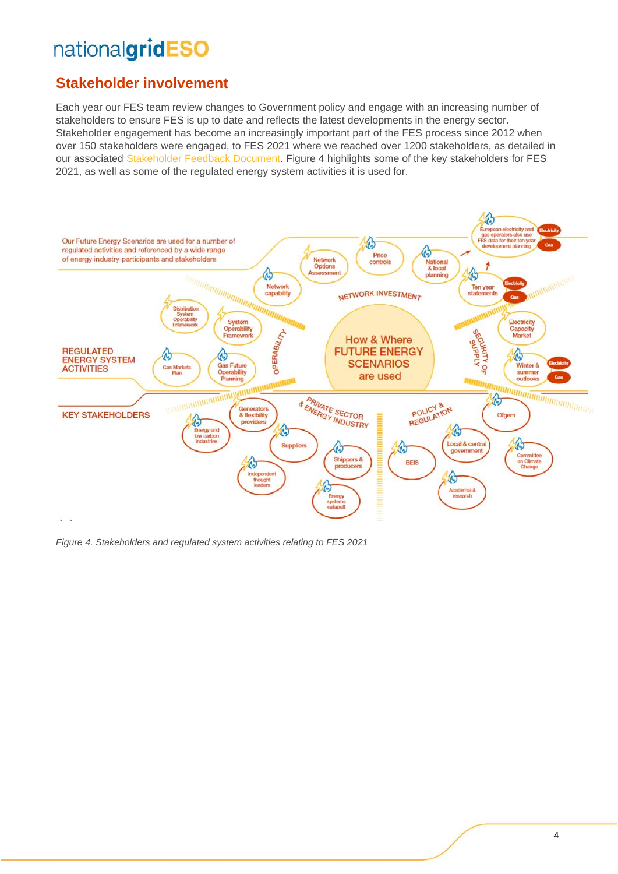## **Stakeholder involvement**

Each year our FES team review changes to Government policy and engage with an increasing number of stakeholders to ensure FES is up to date and reflects the latest developments in the energy sector. Stakeholder engagement has become an increasingly important part of the FES process since 2012 when over 150 stakeholders were engaged, to FES 2021 where we reached over 1200 stakeholders, as detailed in our associated [Stakeholder Feedback Document.](https://www.nationalgrideso.com/document/187746/download) Figure 4 highlights some of the key stakeholders for FES 2021, as well as some of the regulated energy system activities it is used for.



*Figure 4. Stakeholders and regulated system activities relating to FES 2021*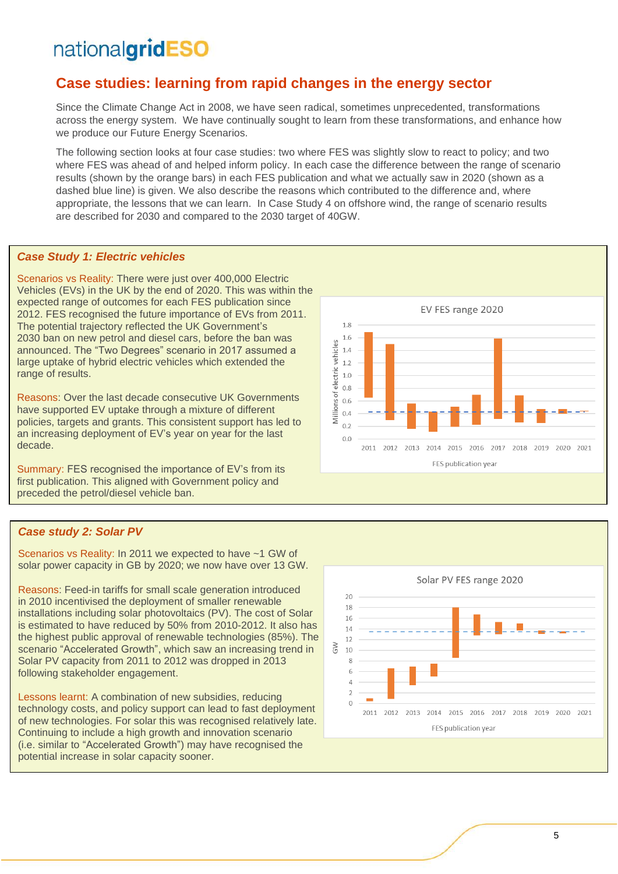### **Case studies: learning from rapid changes in the energy sector**

Since the Climate Change Act in 2008, we have seen radical, sometimes unprecedented, transformations across the energy system. We have continually sought to learn from these transformations, and enhance how we produce our Future Energy Scenarios.

The following section looks at four case studies: two where FES was slightly slow to react to policy; and two where FES was ahead of and helped inform policy. In each case the difference between the range of scenario results (shown by the orange bars) in each FES publication and what we actually saw in 2020 (shown as a dashed blue line) is given. We also describe the reasons which contributed to the difference and, where appropriate, the lessons that we can learn. In Case Study 4 on offshore wind, the range of scenario results are described for 2030 and compared to the 2030 target of 40GW.

#### *Case Study 1: Electric vehicles*

Scenarios vs Reality: There were just over 400,000 Electric Vehicles (EVs) in the UK by the end of 2020. This was within the expected range of outcomes for each FES publication since 2012. FES recognised the future importance of EVs from 2011. The potential trajectory reflected the UK Government's 2030 ban on new petrol and diesel cars, before the ban was announced. The "Two Degrees" scenario in 2017 assumed a large uptake of hybrid electric vehicles which extended the range of results.

Reasons: Over the last decade consecutive UK Governments have supported EV uptake through a mixture of different policies, targets and grants. This consistent support has led to an increasing deployment of EV's year on year for the last decade.

Summary: FES recognised the importance of EV's from its first publication. This aligned with Government policy and preceded the petrol/diesel vehicle ban.

#### EV FES range 2020 1.8  $1.6$ Millions of electric vehicles  $1.4$  $1<sub>2</sub>$  $1.0$  $0.8$  $0.6$  $0.4$  $0.2$  $0.0$ 2011 2012 2013 2014 2015 2016 2017 2018 2019 2020 2021 FES publication year

#### *Case study 2: Solar PV*

Scenarios vs Reality: In 2011 we expected to have ~1 GW of solar power capacity in GB by 2020; we now have over 13 GW.

Reasons: Feed-in tariffs for small scale generation introduced in 2010 incentivised the deployment of smaller renewable installations including solar photovoltaics (PV). The cost of Solar is estimated to have reduced by 50% from 2010-2012. It also has the highest public approval of renewable technologies (85%). The scenario "Accelerated Growth", which saw an increasing trend in Solar PV capacity from 2011 to 2012 was dropped in 2013 following stakeholder engagement.

Lessons learnt: A combination of new subsidies, reducing technology costs, and policy support can lead to fast deployment of new technologies. For solar this was recognised relatively late. Continuing to include a high growth and innovation scenario (i.e. similar to "Accelerated Growth") may have recognised the potential increase in solar capacity sooner.

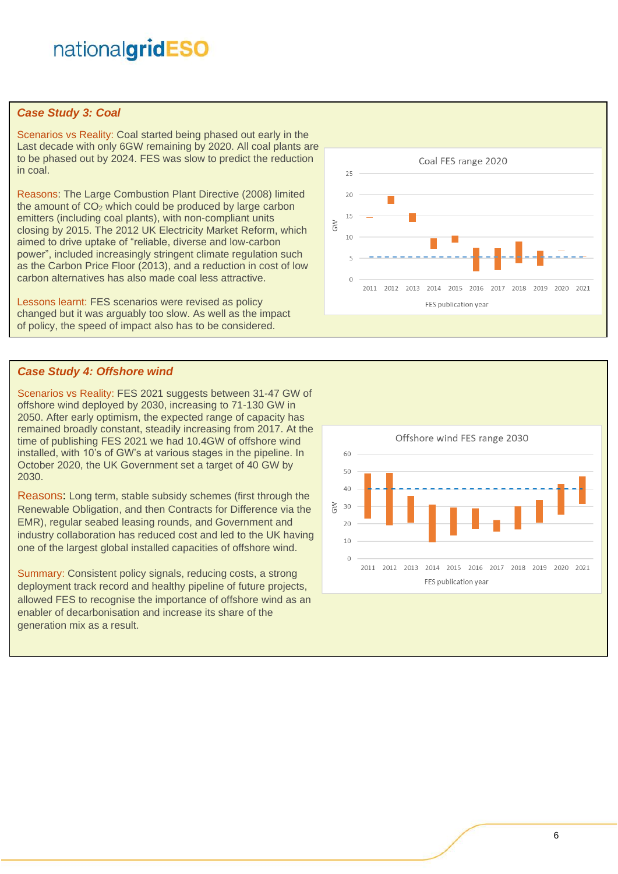#### *Case Study 3: Coal*

Scenarios vs Reality: Coal started being phased out early in the Last decade with only 6GW remaining by 2020. All coal plants are to be phased out by 2024. FES was slow to predict the reduction in coal.

Reasons: The Large Combustion Plant Directive (2008) limited the amount of  $CO<sub>2</sub>$  which could be produced by large carbon emitters (including coal plants), with non-compliant units closing by 2015. The 2012 UK Electricity Market Reform, which aimed to drive uptake of "reliable, diverse and low-carbon power", included increasingly stringent climate regulation such as the Carbon Price Floor (2013), and a reduction in cost of low carbon alternatives has also made coal less attractive.

Lessons learnt: FES scenarios were revised as policy changed but it was arguably too slow. As well as the impact of policy, the speed of impact also has to be considered.

#### *Case Study 4: Offshore wind*

Scenarios vs Reality: FES 2021 suggests between 31-47 GW of offshore wind deployed by 2030, increasing to 71-130 GW in 2050. After early optimism, the expected range of capacity has remained broadly constant, steadily increasing from 2017. At the time of publishing FES 2021 we had 10.4GW of offshore wind installed, with 10's of GW's at various stages in the pipeline. In October 2020, the UK Government set a target of 40 GW by 2030.

Reasons: Long term, stable subsidy schemes (first through the Renewable Obligation, and then Contracts for Difference via the EMR), regular seabed leasing rounds, and Government and industry collaboration has reduced cost and led to the UK having one of the largest global installed capacities of offshore wind.

Summary: Consistent policy signals, reducing costs, a strong deployment track record and healthy pipeline of future projects, allowed FES to recognise the importance of offshore wind as an enabler of decarbonisation and increase its share of the generation mix as a result.